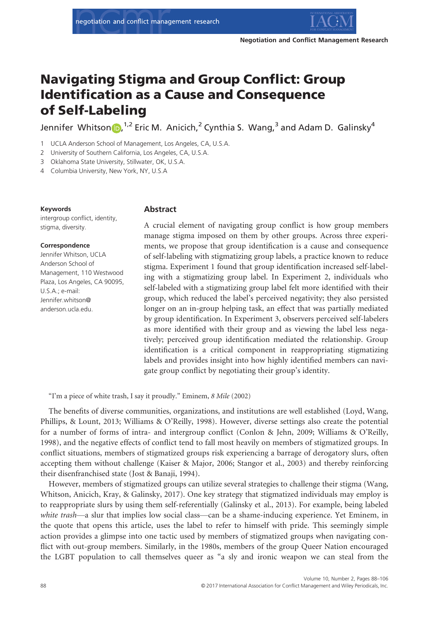

# Navigating Stigma and Group Conflict: Group Identification as a Cause and Consequence of Self-Labeling

Je[n](http://orcid.org/0000-0003-4833-6593)nifer Whitson (D, <sup>1,2</sup> Eric M. Anicich, <sup>2</sup> Cynthia S. Wang, <sup>3</sup> and Adam D. Galinsky<sup>4</sup>

1 UCLA Anderson School of Management, Los Angeles, CA, U.S.A.

2 University of Southern California, Los Angeles, CA, U.S.A.

3 Oklahoma State University, Stillwater, OK, U.S.A.

4 Columbia University, New York, NY, U.S.A

#### Keywords

intergroup conflict, identity, stigma, diversity.

#### Correspondence

Jennifer Whitson, UCLA Anderson School of Management, 110 Westwood Plaza, Los Angeles, CA 90095, U.S.A.; e-mail: Jennifer.whitson@ anderson.ucla.edu.

#### Abstract

A crucial element of navigating group conflict is how group members manage stigma imposed on them by other groups. Across three experiments, we propose that group identification is a cause and consequence of self-labeling with stigmatizing group labels, a practice known to reduce stigma. Experiment 1 found that group identification increased self-labeling with a stigmatizing group label. In Experiment 2, individuals who self-labeled with a stigmatizing group label felt more identified with their group, which reduced the label's perceived negativity; they also persisted longer on an in-group helping task, an effect that was partially mediated by group identification. In Experiment 3, observers perceived self-labelers as more identified with their group and as viewing the label less negatively; perceived group identification mediated the relationship. Group identification is a critical component in reappropriating stigmatizing labels and provides insight into how highly identified members can navigate group conflict by negotiating their group's identity.

"I'm a piece of white trash, I say it proudly." Eminem, 8 Mile (2002)

The benefits of diverse communities, organizations, and institutions are well established (Loyd, Wang, Phillips, & Lount, 2013; Williams & O'Reilly, 1998). However, diverse settings also create the potential for a number of forms of intra- and intergroup conflict (Conlon & Jehn, 2009; Williams & O'Reilly, 1998), and the negative effects of conflict tend to fall most heavily on members of stigmatized groups. In conflict situations, members of stigmatized groups risk experiencing a barrage of derogatory slurs, often accepting them without challenge (Kaiser & Major, 2006; Stangor et al., 2003) and thereby reinforcing their disenfranchised state (Jost & Banaji, 1994).

However, members of stigmatized groups can utilize several strategies to challenge their stigma (Wang, Whitson, Anicich, Kray, & Galinsky, 2017). One key strategy that stigmatized individuals may employ is to reappropriate slurs by using them self-referentially (Galinsky et al., 2013). For example, being labeled white trash—a slur that implies low social class—can be a shame-inducing experience. Yet Eminem, in the quote that opens this article, uses the label to refer to himself with pride. This seemingly simple action provides a glimpse into one tactic used by members of stigmatized groups when navigating conflict with out-group members. Similarly, in the 1980s, members of the group Queer Nation encouraged the LGBT population to call themselves queer as "a sly and ironic weapon we can steal from the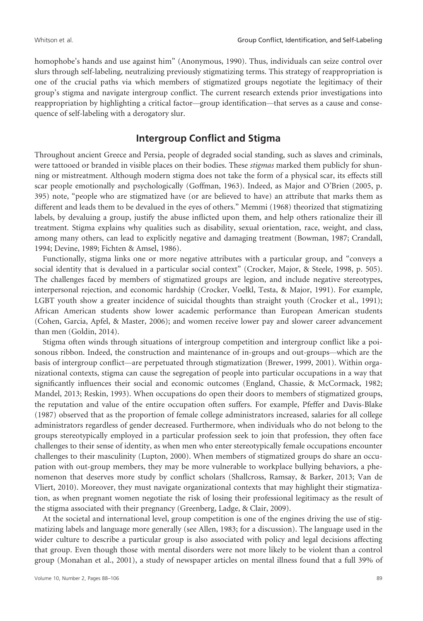homophobe's hands and use against him" (Anonymous, 1990). Thus, individuals can seize control over slurs through self-labeling, neutralizing previously stigmatizing terms. This strategy of reappropriation is one of the crucial paths via which members of stigmatized groups negotiate the legitimacy of their group's stigma and navigate intergroup conflict. The current research extends prior investigations into reappropriation by highlighting a critical factor—group identification—that serves as a cause and consequence of self-labeling with a derogatory slur.

## Intergroup Conflict and Stigma

Throughout ancient Greece and Persia, people of degraded social standing, such as slaves and criminals, were tattooed or branded in visible places on their bodies. These *stigmas* marked them publicly for shunning or mistreatment. Although modern stigma does not take the form of a physical scar, its effects still scar people emotionally and psychologically (Goffman, 1963). Indeed, as Major and O'Brien (2005, p. 395) note, "people who are stigmatized have (or are believed to have) an attribute that marks them as different and leads them to be devalued in the eyes of others." Memmi (1968) theorized that stigmatizing labels, by devaluing a group, justify the abuse inflicted upon them, and help others rationalize their ill treatment. Stigma explains why qualities such as disability, sexual orientation, race, weight, and class, among many others, can lead to explicitly negative and damaging treatment (Bowman, 1987; Crandall, 1994; Devine, 1989; Fichten & Amsel, 1986).

Functionally, stigma links one or more negative attributes with a particular group, and "conveys a social identity that is devalued in a particular social context" (Crocker, Major, & Steele, 1998, p. 505). The challenges faced by members of stigmatized groups are legion, and include negative stereotypes, interpersonal rejection, and economic hardship (Crocker, Voelkl, Testa, & Major, 1991). For example, LGBT youth show a greater incidence of suicidal thoughts than straight youth (Crocker et al., 1991); African American students show lower academic performance than European American students (Cohen, Garcia, Apfel, & Master, 2006); and women receive lower pay and slower career advancement than men (Goldin, 2014).

Stigma often winds through situations of intergroup competition and intergroup conflict like a poisonous ribbon. Indeed, the construction and maintenance of in-groups and out-groups—which are the basis of intergroup conflict—are perpetuated through stigmatization (Brewer, 1999, 2001). Within organizational contexts, stigma can cause the segregation of people into particular occupations in a way that significantly influences their social and economic outcomes (England, Chassie, & McCormack, 1982; Mandel, 2013; Reskin, 1993). When occupations do open their doors to members of stigmatized groups, the reputation and value of the entire occupation often suffers. For example, Pfeffer and Davis-Blake (1987) observed that as the proportion of female college administrators increased, salaries for all college administrators regardless of gender decreased. Furthermore, when individuals who do not belong to the groups stereotypically employed in a particular profession seek to join that profession, they often face challenges to their sense of identity, as when men who enter stereotypically female occupations encounter challenges to their masculinity (Lupton, 2000). When members of stigmatized groups do share an occupation with out-group members, they may be more vulnerable to workplace bullying behaviors, a phenomenon that deserves more study by conflict scholars (Shallcross, Ramsay, & Barker, 2013; Van de Vliert, 2010). Moreover, they must navigate organizational contexts that may highlight their stigmatization, as when pregnant women negotiate the risk of losing their professional legitimacy as the result of the stigma associated with their pregnancy (Greenberg, Ladge, & Clair, 2009).

At the societal and international level, group competition is one of the engines driving the use of stigmatizing labels and language more generally (see Allen, 1983; for a discussion). The language used in the wider culture to describe a particular group is also associated with policy and legal decisions affecting that group. Even though those with mental disorders were not more likely to be violent than a control group (Monahan et al., 2001), a study of newspaper articles on mental illness found that a full 39% of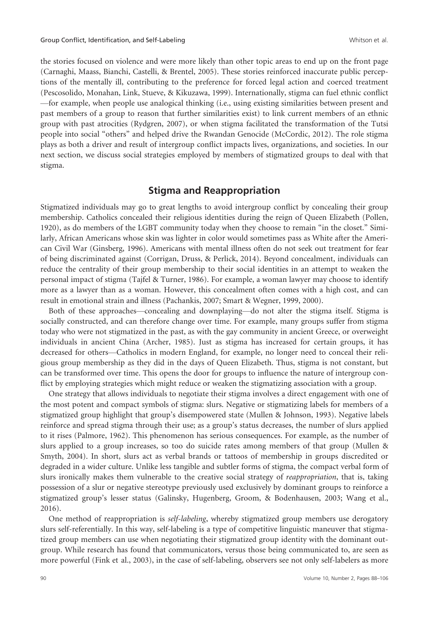the stories focused on violence and were more likely than other topic areas to end up on the front page (Carnaghi, Maass, Bianchi, Castelli, & Brentel, 2005). These stories reinforced inaccurate public perceptions of the mentally ill, contributing to the preference for forced legal action and coerced treatment (Pescosolido, Monahan, Link, Stueve, & Kikuzawa, 1999). Internationally, stigma can fuel ethnic conflict —for example, when people use analogical thinking (i.e., using existing similarities between present and past members of a group to reason that further similarities exist) to link current members of an ethnic group with past atrocities (Rydgren, 2007), or when stigma facilitated the transformation of the Tutsi people into social "others" and helped drive the Rwandan Genocide (McCordic, 2012). The role stigma plays as both a driver and result of intergroup conflict impacts lives, organizations, and societies. In our next section, we discuss social strategies employed by members of stigmatized groups to deal with that stigma.

## Stigma and Reappropriation

Stigmatized individuals may go to great lengths to avoid intergroup conflict by concealing their group membership. Catholics concealed their religious identities during the reign of Queen Elizabeth (Pollen, 1920), as do members of the LGBT community today when they choose to remain "in the closet." Similarly, African Americans whose skin was lighter in color would sometimes pass as White after the American Civil War (Ginsberg, 1996). Americans with mental illness often do not seek out treatment for fear of being discriminated against (Corrigan, Druss, & Perlick, 2014). Beyond concealment, individuals can reduce the centrality of their group membership to their social identities in an attempt to weaken the personal impact of stigma (Tajfel & Turner, 1986). For example, a woman lawyer may choose to identify more as a lawyer than as a woman. However, this concealment often comes with a high cost, and can result in emotional strain and illness (Pachankis, 2007; Smart & Wegner, 1999, 2000).

Both of these approaches—concealing and downplaying—do not alter the stigma itself. Stigma is socially constructed, and can therefore change over time. For example, many groups suffer from stigma today who were not stigmatized in the past, as with the gay community in ancient Greece, or overweight individuals in ancient China (Archer, 1985). Just as stigma has increased for certain groups, it has decreased for others—Catholics in modern England, for example, no longer need to conceal their religious group membership as they did in the days of Queen Elizabeth. Thus, stigma is not constant, but can be transformed over time. This opens the door for groups to influence the nature of intergroup conflict by employing strategies which might reduce or weaken the stigmatizing association with a group.

One strategy that allows individuals to negotiate their stigma involves a direct engagement with one of the most potent and compact symbols of stigma: slurs. Negative or stigmatizing labels for members of a stigmatized group highlight that group's disempowered state (Mullen & Johnson, 1993). Negative labels reinforce and spread stigma through their use; as a group's status decreases, the number of slurs applied to it rises (Palmore, 1962). This phenomenon has serious consequences. For example, as the number of slurs applied to a group increases, so too do suicide rates among members of that group (Mullen & Smyth, 2004). In short, slurs act as verbal brands or tattoos of membership in groups discredited or degraded in a wider culture. Unlike less tangible and subtler forms of stigma, the compact verbal form of slurs ironically makes them vulnerable to the creative social strategy of *reappropriation*, that is, taking possession of a slur or negative stereotype previously used exclusively by dominant groups to reinforce a stigmatized group's lesser status (Galinsky, Hugenberg, Groom, & Bodenhausen, 2003; Wang et al., 2016).

One method of reappropriation is self-labeling, whereby stigmatized group members use derogatory slurs self-referentially. In this way, self-labeling is a type of competitive linguistic maneuver that stigmatized group members can use when negotiating their stigmatized group identity with the dominant outgroup. While research has found that communicators, versus those being communicated to, are seen as more powerful (Fink et al., 2003), in the case of self-labeling, observers see not only self-labelers as more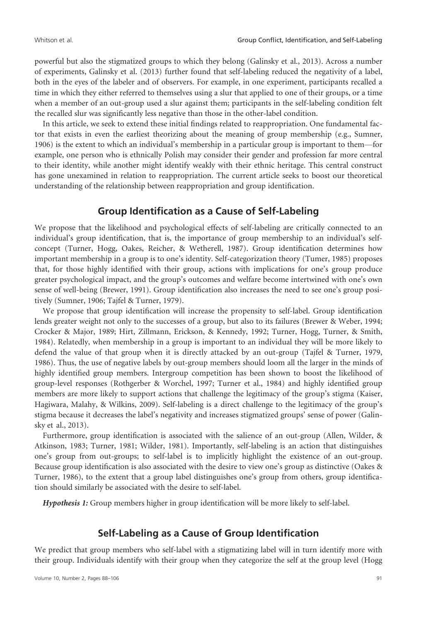powerful but also the stigmatized groups to which they belong (Galinsky et al., 2013). Across a number of experiments, Galinsky et al. (2013) further found that self-labeling reduced the negativity of a label, both in the eyes of the labeler and of observers. For example, in one experiment, participants recalled a time in which they either referred to themselves using a slur that applied to one of their groups, or a time when a member of an out-group used a slur against them; participants in the self-labeling condition felt the recalled slur was significantly less negative than those in the other-label condition.

In this article, we seek to extend these initial findings related to reappropriation. One fundamental factor that exists in even the earliest theorizing about the meaning of group membership (e.g., Sumner, 1906) is the extent to which an individual's membership in a particular group is important to them—for example, one person who is ethnically Polish may consider their gender and profession far more central to their identity, while another might identify weakly with their ethnic heritage. This central construct has gone unexamined in relation to reappropriation. The current article seeks to boost our theoretical understanding of the relationship between reappropriation and group identification.

## Group Identification as a Cause of Self-Labeling

We propose that the likelihood and psychological effects of self-labeling are critically connected to an individual's group identification, that is, the importance of group membership to an individual's selfconcept (Turner, Hogg, Oakes, Reicher, & Wetherell, 1987). Group identification determines how important membership in a group is to one's identity. Self-categorization theory (Tumer, 1985) proposes that, for those highly identified with their group, actions with implications for one's group produce greater psychological impact, and the group's outcomes and welfare become intertwined with one's own sense of well-being (Brewer, 1991). Group identification also increases the need to see one's group positively (Sumner, 1906; Tajfel & Turner, 1979).

We propose that group identification will increase the propensity to self-label. Group identification lends greater weight not only to the successes of a group, but also to its failures (Brewer & Weber, 1994; Crocker & Major, 1989; Hirt, Zillmann, Erickson, & Kennedy, 1992; Turner, Hogg, Turner, & Smith, 1984). Relatedly, when membership in a group is important to an individual they will be more likely to defend the value of that group when it is directly attacked by an out-group (Tajfel & Turner, 1979, 1986). Thus, the use of negative labels by out-group members should loom all the larger in the minds of highly identified group members. Intergroup competition has been shown to boost the likelihood of group-level responses (Rothgerber & Worchel, 1997; Turner et al., 1984) and highly identified group members are more likely to support actions that challenge the legitimacy of the group's stigma (Kaiser, Hagiwara, Malahy, & Wilkins, 2009). Self-labeling is a direct challenge to the legitimacy of the group's stigma because it decreases the label's negativity and increases stigmatized groups' sense of power (Galinsky et al., 2013).

Furthermore, group identification is associated with the salience of an out-group (Allen, Wilder, & Atkinson, 1983; Turner, 1981; Wilder, 1981). Importantly, self-labeling is an action that distinguishes one's group from out-groups; to self-label is to implicitly highlight the existence of an out-group. Because group identification is also associated with the desire to view one's group as distinctive (Oakes & Turner, 1986), to the extent that a group label distinguishes one's group from others, group identification should similarly be associated with the desire to self-label.

Hypothesis 1: Group members higher in group identification will be more likely to self-label.

## Self-Labeling as a Cause of Group Identification

We predict that group members who self-label with a stigmatizing label will in turn identify more with their group. Individuals identify with their group when they categorize the self at the group level (Hogg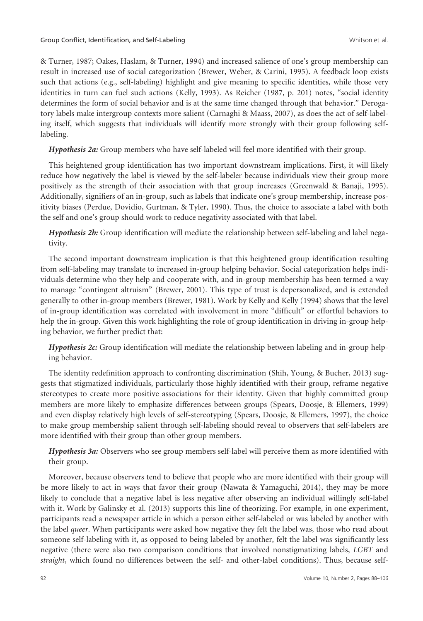& Turner, 1987; Oakes, Haslam, & Turner, 1994) and increased salience of one's group membership can result in increased use of social categorization (Brewer, Weber, & Carini, 1995). A feedback loop exists such that actions (e.g., self-labeling) highlight and give meaning to specific identities, while those very identities in turn can fuel such actions (Kelly, 1993). As Reicher (1987, p. 201) notes, "social identity determines the form of social behavior and is at the same time changed through that behavior." Derogatory labels make intergroup contexts more salient (Carnaghi & Maass, 2007), as does the act of self-labeling itself, which suggests that individuals will identify more strongly with their group following selflabeling.

Hypothesis 2a: Group members who have self-labeled will feel more identified with their group.

This heightened group identification has two important downstream implications. First, it will likely reduce how negatively the label is viewed by the self-labeler because individuals view their group more positively as the strength of their association with that group increases (Greenwald & Banaji, 1995). Additionally, signifiers of an in-group, such as labels that indicate one's group membership, increase positivity biases (Perdue, Dovidio, Gurtman, & Tyler, 1990). Thus, the choice to associate a label with both the self and one's group should work to reduce negativity associated with that label.

Hypothesis 2b: Group identification will mediate the relationship between self-labeling and label negativity.

The second important downstream implication is that this heightened group identification resulting from self-labeling may translate to increased in-group helping behavior. Social categorization helps individuals determine who they help and cooperate with, and in-group membership has been termed a way to manage "contingent altruism" (Brewer, 2001). This type of trust is depersonalized, and is extended generally to other in-group members (Brewer, 1981). Work by Kelly and Kelly (1994) shows that the level of in-group identification was correlated with involvement in more "difficult" or effortful behaviors to help the in-group. Given this work highlighting the role of group identification in driving in-group helping behavior, we further predict that:

Hypothesis 2c: Group identification will mediate the relationship between labeling and in-group helping behavior.

The identity redefinition approach to confronting discrimination (Shih, Young, & Bucher, 2013) suggests that stigmatized individuals, particularly those highly identified with their group, reframe negative stereotypes to create more positive associations for their identity. Given that highly committed group members are more likely to emphasize differences between groups (Spears, Doosje, & Ellemers, 1999) and even display relatively high levels of self-stereotyping (Spears, Doosje, & Ellemers, 1997), the choice to make group membership salient through self-labeling should reveal to observers that self-labelers are more identified with their group than other group members.

Hypothesis 3a: Observers who see group members self-label will perceive them as more identified with their group.

Moreover, because observers tend to believe that people who are more identified with their group will be more likely to act in ways that favor their group (Nawata & Yamaguchi, 2014), they may be more likely to conclude that a negative label is less negative after observing an individual willingly self-label with it. Work by Galinsky et al. (2013) supports this line of theorizing. For example, in one experiment, participants read a newspaper article in which a person either self-labeled or was labeled by another with the label *queer*. When participants were asked how negative they felt the label was, those who read about someone self-labeling with it, as opposed to being labeled by another, felt the label was significantly less negative (there were also two comparison conditions that involved nonstigmatizing labels, LGBT and straight, which found no differences between the self- and other-label conditions). Thus, because self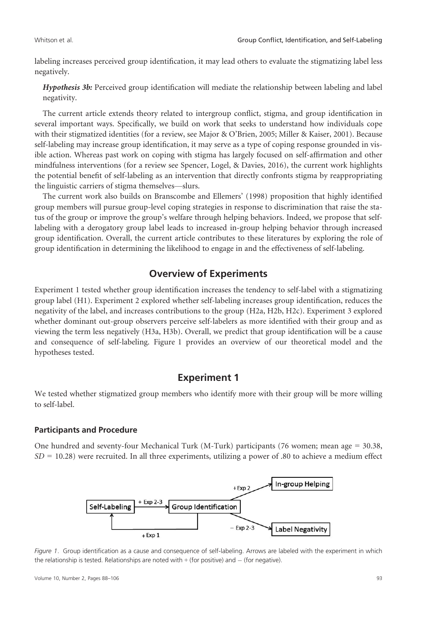labeling increases perceived group identification, it may lead others to evaluate the stigmatizing label less negatively.

Hypothesis 3b: Perceived group identification will mediate the relationship between labeling and label negativity.

The current article extends theory related to intergroup conflict, stigma, and group identification in several important ways. Specifically, we build on work that seeks to understand how individuals cope with their stigmatized identities (for a review, see Major & O'Brien, 2005; Miller & Kaiser, 2001). Because self-labeling may increase group identification, it may serve as a type of coping response grounded in visible action. Whereas past work on coping with stigma has largely focused on self-affirmation and other mindfulness interventions (for a review see Spencer, Logel, & Davies, 2016), the current work highlights the potential benefit of self-labeling as an intervention that directly confronts stigma by reappropriating the linguistic carriers of stigma themselves—slurs.

The current work also builds on Branscombe and Ellemers' (1998) proposition that highly identified group members will pursue group-level coping strategies in response to discrimination that raise the status of the group or improve the group's welfare through helping behaviors. Indeed, we propose that selflabeling with a derogatory group label leads to increased in-group helping behavior through increased group identification. Overall, the current article contributes to these literatures by exploring the role of group identification in determining the likelihood to engage in and the effectiveness of self-labeling.

## Overview of Experiments

Experiment 1 tested whether group identification increases the tendency to self-label with a stigmatizing group label (H1). Experiment 2 explored whether self-labeling increases group identification, reduces the negativity of the label, and increases contributions to the group (H2a, H2b, H2c). Experiment 3 explored whether dominant out-group observers perceive self-labelers as more identified with their group and as viewing the term less negatively (H3a, H3b). Overall, we predict that group identification will be a cause and consequence of self-labeling. Figure 1 provides an overview of our theoretical model and the hypotheses tested.

## Experiment 1

We tested whether stigmatized group members who identify more with their group will be more willing to self-label.

### Participants and Procedure

One hundred and seventy-four Mechanical Turk (M-Turk) participants (76 women; mean age = 30.38,  $SD = 10.28$ ) were recruited. In all three experiments, utilizing a power of .80 to achieve a medium effect



Figure 1. Group identification as a cause and consequence of self-labeling. Arrows are labeled with the experiment in which the relationship is tested. Relationships are noted with  $+$  (for positive) and  $-$  (for negative).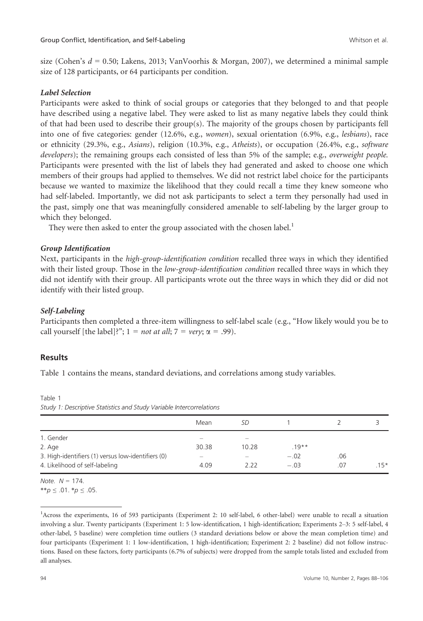size (Cohen's  $d = 0.50$ ; Lakens, 2013; VanVoorhis & Morgan, 2007), we determined a minimal sample size of 128 participants, or 64 participants per condition.

#### Label Selection

Participants were asked to think of social groups or categories that they belonged to and that people have described using a negative label. They were asked to list as many negative labels they could think of that had been used to describe their group(s). The majority of the groups chosen by participants fell into one of five categories: gender (12.6%, e.g., women), sexual orientation (6.9%, e.g., lesbians), race or ethnicity (29.3%, e.g., Asians), religion (10.3%, e.g., Atheists), or occupation (26.4%, e.g., software developers); the remaining groups each consisted of less than 5% of the sample; e.g., *overweight people.* Participants were presented with the list of labels they had generated and asked to choose one which members of their groups had applied to themselves. We did not restrict label choice for the participants because we wanted to maximize the likelihood that they could recall a time they knew someone who had self-labeled. Importantly, we did not ask participants to select a term they personally had used in the past, simply one that was meaningfully considered amenable to self-labeling by the larger group to which they belonged.

They were then asked to enter the group associated with the chosen label.<sup>1</sup>

### Group Identification

Next, participants in the *high-group-identification condition* recalled three ways in which they identified with their listed group. Those in the *low-group-identification condition* recalled three ways in which they did not identify with their group. All participants wrote out the three ways in which they did or did not identify with their listed group.

### Self-Labeling

Participants then completed a three-item willingness to self-label scale (e.g., "How likely would you be to call yourself [the label]?";  $1 = not at all$ ;  $7 = very$ ;  $\alpha = .99$ ).

### Results

Table 1 contains the means, standard deviations, and correlations among study variables.

Table 1 Study 1: Descriptive Statistics and Study Variable Intercorrelations

|                                                    | Mean                     | SD    |          |     |        |
|----------------------------------------------------|--------------------------|-------|----------|-----|--------|
| 1. Gender                                          |                          |       |          |     |        |
| 2. Age                                             | 30.38                    | 10.28 | $.19***$ |     |        |
| 3. High-identifiers (1) versus low-identifiers (0) | $\overline{\phantom{a}}$ |       | $-.02$   | .06 |        |
| 4. Likelihood of self-labeling                     | 4.09                     | 2.22  | $-.03$   | .07 | $.15*$ |

Note.  $N = 174$ . \*\*p  $\leq$  .01. \*p  $\leq$  .05.

<sup>&</sup>lt;sup>1</sup>Across the experiments, 16 of 593 participants (Experiment 2: 10 self-label, 6 other-label) were unable to recall a situation involving a slur. Twenty participants (Experiment 1: 5 low-identification, 1 high-identification; Experiments 2–3: 5 self-label, 4 other-label, 5 baseline) were completion time outliers (3 standard deviations below or above the mean completion time) and four participants (Experiment 1: 1 low-identification, 1 high-identification; Experiment 2: 2 baseline) did not follow instructions. Based on these factors, forty participants (6.7% of subjects) were dropped from the sample totals listed and excluded from all analyses.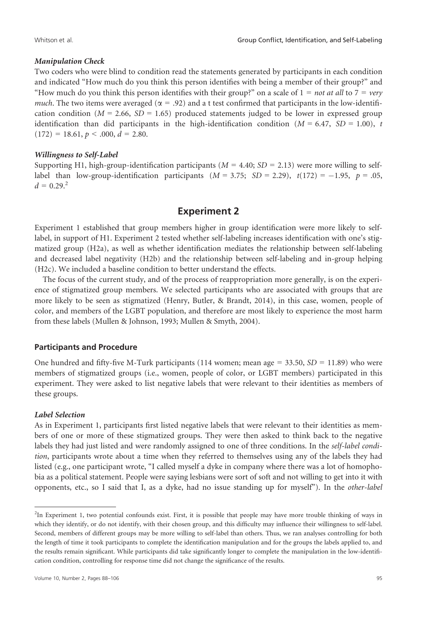#### Manipulation Check

Two coders who were blind to condition read the statements generated by participants in each condition and indicated "How much do you think this person identifies with being a member of their group?" and "How much do you think this person identifies with their group?" on a scale of  $1 = not at all to 7 = very$ much. The two items were averaged ( $\alpha = .92$ ) and a t test confirmed that participants in the low-identification condition ( $M = 2.66$ ,  $SD = 1.65$ ) produced statements judged to be lower in expressed group identification than did participants in the high-identification condition ( $M = 6.47$ ,  $SD = 1.00$ ), t  $(172) = 18.61, p < .000, d = 2.80.$ 

#### Willingness to Self-Label

Supporting H1, high-group-identification participants ( $M = 4.40$ ;  $SD = 2.13$ ) were more willing to selflabel than low-group-identification participants  $(M = 3.75; SD = 2.29)$ ,  $t(172) = -1.95$ ,  $p = .05$ ,  $d = 0.29<sup>2</sup>$ 

## Experiment 2

Experiment 1 established that group members higher in group identification were more likely to selflabel, in support of H1. Experiment 2 tested whether self-labeling increases identification with one's stigmatized group (H2a), as well as whether identification mediates the relationship between self-labeling and decreased label negativity (H2b) and the relationship between self-labeling and in-group helping (H2c). We included a baseline condition to better understand the effects.

The focus of the current study, and of the process of reappropriation more generally, is on the experience of stigmatized group members. We selected participants who are associated with groups that are more likely to be seen as stigmatized (Henry, Butler, & Brandt, 2014), in this case, women, people of color, and members of the LGBT population, and therefore are most likely to experience the most harm from these labels (Mullen & Johnson, 1993; Mullen & Smyth, 2004).

#### Participants and Procedure

One hundred and fifty-five M-Turk participants (114 women; mean age = 33.50,  $SD = 11.89$ ) who were members of stigmatized groups (i.e., women, people of color, or LGBT members) participated in this experiment. They were asked to list negative labels that were relevant to their identities as members of these groups.

#### Label Selection

As in Experiment 1, participants first listed negative labels that were relevant to their identities as members of one or more of these stigmatized groups. They were then asked to think back to the negative labels they had just listed and were randomly assigned to one of three conditions. In the *self-label condi*tion, participants wrote about a time when they referred to themselves using any of the labels they had listed (e.g., one participant wrote, "I called myself a dyke in company where there was a lot of homophobia as a political statement. People were saying lesbians were sort of soft and not willing to get into it with opponents, etc., so I said that I, as a dyke, had no issue standing up for myself"). In the other-label

<sup>&</sup>lt;sup>2</sup>In Experiment 1, two potential confounds exist. First, it is possible that people may have more trouble thinking of ways in which they identify, or do not identify, with their chosen group, and this difficulty may influence their willingness to self-label. Second, members of different groups may be more willing to self-label than others. Thus, we ran analyses controlling for both the length of time it took participants to complete the identification manipulation and for the groups the labels applied to, and the results remain significant. While participants did take significantly longer to complete the manipulation in the low-identification condition, controlling for response time did not change the significance of the results.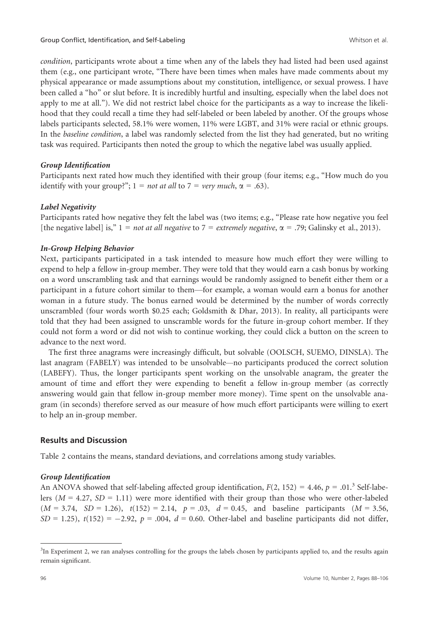condition, participants wrote about a time when any of the labels they had listed had been used against them (e.g., one participant wrote, "There have been times when males have made comments about my physical appearance or made assumptions about my constitution, intelligence, or sexual prowess. I have been called a "ho" or slut before. It is incredibly hurtful and insulting, especially when the label does not apply to me at all."). We did not restrict label choice for the participants as a way to increase the likelihood that they could recall a time they had self-labeled or been labeled by another. Of the groups whose labels participants selected, 58.1% were women, 11% were LGBT, and 31% were racial or ethnic groups. In the baseline condition, a label was randomly selected from the list they had generated, but no writing task was required. Participants then noted the group to which the negative label was usually applied.

#### Group Identification

Participants next rated how much they identified with their group (four items; e.g., "How much do you identify with your group?";  $1 = not$  at all to  $7 = very$  much,  $\alpha = .63$ ).

#### Label Negativity

Participants rated how negative they felt the label was (two items; e.g., "Please rate how negative you feel [the negative label] is,"  $1 = not$  at all negative to  $7 = extremely$  negative,  $\alpha = .79$ ; Galinsky et al., 2013).

#### In-Group Helping Behavior

Next, participants participated in a task intended to measure how much effort they were willing to expend to help a fellow in-group member. They were told that they would earn a cash bonus by working on a word unscrambling task and that earnings would be randomly assigned to benefit either them or a participant in a future cohort similar to them—for example, a woman would earn a bonus for another woman in a future study. The bonus earned would be determined by the number of words correctly unscrambled (four words worth \$0.25 each; Goldsmith & Dhar, 2013). In reality, all participants were told that they had been assigned to unscramble words for the future in-group cohort member. If they could not form a word or did not wish to continue working, they could click a button on the screen to advance to the next word.

The first three anagrams were increasingly difficult, but solvable (OOLSCH, SUEMO, DINSLA). The last anagram (FABELY) was intended to be unsolvable—no participants produced the correct solution (LABEFY). Thus, the longer participants spent working on the unsolvable anagram, the greater the amount of time and effort they were expending to benefit a fellow in-group member (as correctly answering would gain that fellow in-group member more money). Time spent on the unsolvable anagram (in seconds) therefore served as our measure of how much effort participants were willing to exert to help an in-group member.

#### Results and Discussion

Table 2 contains the means, standard deviations, and correlations among study variables.

#### Group Identification

An ANOVA showed that self-labeling affected group identification,  $F(2, 152) = 4.46$ ,  $p = .01$ .<sup>3</sup> Self-labelers ( $M = 4.27$ ,  $SD = 1.11$ ) were more identified with their group than those who were other-labeled  $(M = 3.74, SD = 1.26), t(152) = 2.14, p = .03, d = 0.45, and baseline participants (M = 3.56,$  $SD = 1.25$ ),  $t(152) = -2.92$ ,  $p = .004$ ,  $d = 0.60$ . Other-label and baseline participants did not differ,

<sup>&</sup>lt;sup>3</sup>In Experiment 2, we ran analyses controlling for the groups the labels chosen by participants applied to, and the results again remain significant.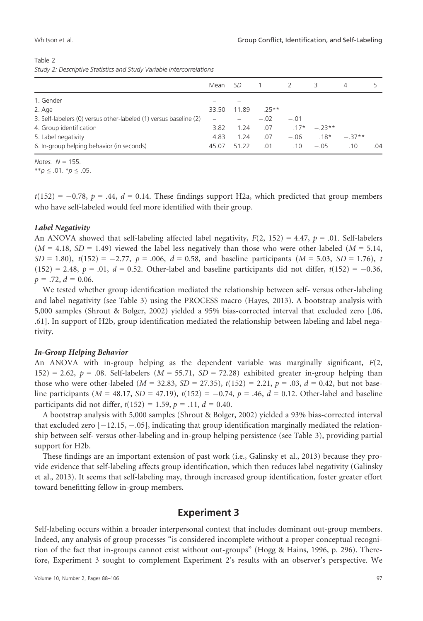| Study 2: Descriptive Statistics and Study Variable Intercorrelations |  |  |                   |  |  |          |  |
|----------------------------------------------------------------------|--|--|-------------------|--|--|----------|--|
|                                                                      |  |  | Mean SD 1 2 3     |  |  | $\Delta$ |  |
| 1. Gender                                                            |  |  |                   |  |  |          |  |
| 2. Age                                                               |  |  | 33.50 11.89 .25** |  |  |          |  |

4. Group identification 10 17 to 10 10 10 10 10 10 10 10 11 11 11 12 13 14 15 16 16 16 16 16 16 16 16 16 16 16 1<br>5. Label negativity 1.24 1.24 1.24 1.24 1.24 1.26 1.8\* 5. Label negativity 4.83 1.24 .07 .06 .18\* .37\*\* 6. In-group helping behavior (in seconds) 45.07 51.22 .01 .10 .05 .10 .04

3. Self-labelers (0) versus other-labeled (1) versus baseline (2)  $\qquad - \qquad - \qquad -02 \qquad -01$ <br>4. Group identification  $\qquad 3.82 \qquad 1.24 \qquad 07 \qquad 17$ \*

Table 2

|  |  | Study 2: Descriptive Statistics and Study Variable Intercorrelations |
|--|--|----------------------------------------------------------------------|

Notes.  $N = 155$ .

\*\* $p \le .01$ . \* $p \le .05$ .

 $t(152) = -0.78$ ,  $p = .44$ ,  $d = 0.14$ . These findings support H2a, which predicted that group members who have self-labeled would feel more identified with their group.

#### Label Negativity

An ANOVA showed that self-labeling affected label negativity,  $F(2, 152) = 4.47$ ,  $p = .01$ . Self-labelers  $(M = 4.18, SD = 1.49)$  viewed the label less negatively than those who were other-labeled  $(M = 5.14,$  $SD = 1.80$ ,  $t(152) = -2.77$ ,  $p = .006$ ,  $d = 0.58$ , and baseline participants  $(M = 5.03, SD = 1.76)$ , t  $(152) = 2.48, p = .01, d = 0.52$ . Other-label and baseline participants did not differ,  $t(152) = -0.36$ ,  $p = .72, d = 0.06.$ 

We tested whether group identification mediated the relationship between self- versus other-labeling and label negativity (see Table 3) using the PROCESS macro (Hayes, 2013). A bootstrap analysis with 5,000 samples (Shrout & Bolger, 2002) yielded a 95% bias-corrected interval that excluded zero [.06, .61]. In support of H2b, group identification mediated the relationship between labeling and label negativity.

#### In-Group Helping Behavior

An ANOVA with in-group helping as the dependent variable was marginally significant, F(2,  $152$ ) = 2.62, p = .08. Self-labelers (M = 55.71, SD = 72.28) exhibited greater in-group helping than those who were other-labeled ( $M = 32.83$ ,  $SD = 27.35$ ),  $t(152) = 2.21$ ,  $p = .03$ ,  $d = 0.42$ , but not baseline participants ( $M = 48.17$ ,  $SD = 47.19$ ),  $t(152) = -0.74$ ,  $p = .46$ ,  $d = 0.12$ . Other-label and baseline participants did not differ,  $t(152) = 1.59$ ,  $p = .11$ ,  $d = 0.40$ .

A bootstrap analysis with 5,000 samples (Shrout & Bolger, 2002) yielded a 93% bias-corrected interval that excluded zero  $[-12.15, -.05]$ , indicating that group identification marginally mediated the relationship between self- versus other-labeling and in-group helping persistence (see Table 3), providing partial support for H2b.

These findings are an important extension of past work (i.e., Galinsky et al., 2013) because they provide evidence that self-labeling affects group identification, which then reduces label negativity (Galinsky et al., 2013). It seems that self-labeling may, through increased group identification, foster greater effort toward benefitting fellow in-group members.

## Experiment 3

Self-labeling occurs within a broader interpersonal context that includes dominant out-group members. Indeed, any analysis of group processes "is considered incomplete without a proper conceptual recognition of the fact that in-groups cannot exist without out-groups" (Hogg & Hains, 1996, p. 296). Therefore, Experiment 3 sought to complement Experiment 2's results with an observer's perspective. We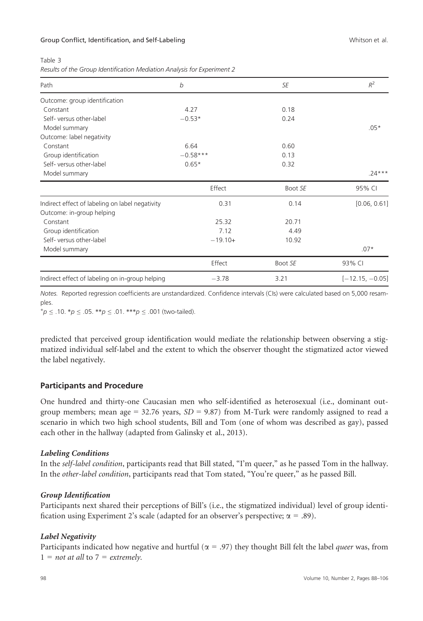| $\sim$<br>$\sim$ | I |
|------------------|---|
|------------------|---|

| Results of the Group Identification Mediation Analysis for Experiment 2 |  |
|-------------------------------------------------------------------------|--|
|                                                                         |  |

| Path                                            | b          | SE      | $R^2$             |
|-------------------------------------------------|------------|---------|-------------------|
| Outcome: group identification                   |            |         |                   |
| Constant                                        | 4.27       | 0.18    |                   |
| Self-versus other-label                         | $-0.53*$   | 0.24    |                   |
| Model summary                                   |            |         | $.05*$            |
| Outcome: label negativity                       |            |         |                   |
| Constant                                        | 6.64       | 0.60    |                   |
| Group identification                            | $-0.58***$ | 0.13    |                   |
| Self-versus other-label                         | $0.65*$    | 0.32    |                   |
| Model summary                                   |            |         | $.24***$          |
|                                                 | Effect     | Boot SE | 95% CI            |
| Indirect effect of labeling on label negativity | 0.31       | 0.14    | [0.06, 0.61]      |
| Outcome: in-group helping                       |            |         |                   |
| Constant                                        | 25.32      | 20.71   |                   |
| Group identification                            | 7.12       | 4.49    |                   |
| Self-versus other-label                         | $-19.10+$  | 10.92   |                   |
| Model summary                                   |            |         | $.07*$            |
|                                                 | Effect     | Boot SE | 93% CI            |
| Indirect effect of labeling on in-group helping | $-3.78$    | 3.21    | $[-12.15, -0.05]$ |

Notes. Reported regression coefficients are unstandardized. Confidence intervals (CIs) were calculated based on 5,000 resamples.

 $^+p \leq .10$ . \* $p \leq .05$ . \*\* $p \leq .01$ . \*\*\* $p \leq .001$  (two-tailed).

predicted that perceived group identification would mediate the relationship between observing a stigmatized individual self-label and the extent to which the observer thought the stigmatized actor viewed the label negatively.

### Participants and Procedure

One hundred and thirty-one Caucasian men who self-identified as heterosexual (i.e., dominant outgroup members; mean age = 32.76 years,  $SD = 9.87$  from M-Turk were randomly assigned to read a scenario in which two high school students, Bill and Tom (one of whom was described as gay), passed each other in the hallway (adapted from Galinsky et al., 2013).

### Labeling Conditions

In the self-label condition, participants read that Bill stated, "I'm queer," as he passed Tom in the hallway. In the other-label condition, participants read that Tom stated, "You're queer," as he passed Bill.

### Group Identification

Participants next shared their perceptions of Bill's (i.e., the stigmatized individual) level of group identification using Experiment 2's scale (adapted for an observer's perspective;  $\alpha = .89$ ).

### Label Negativity

Participants indicated how negative and hurtful ( $\alpha$  = .97) they thought Bill felt the label *queer* was, from  $1 = not at all to 7 = extremely.$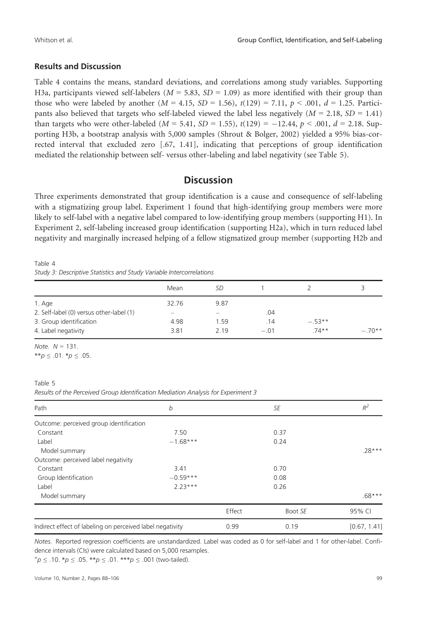#### Results and Discussion

Table 4 contains the means, standard deviations, and correlations among study variables. Supporting H3a, participants viewed self-labelers ( $M = 5.83$ ,  $SD = 1.09$ ) as more identified with their group than those who were labeled by another  $(M = 4.15, SD = 1.56)$ ,  $t(129) = 7.11$ ,  $p < .001$ ,  $d = 1.25$ . Participants also believed that targets who self-labeled viewed the label less negatively ( $M = 2.18$ ,  $SD = 1.41$ ) than targets who were other-labeled ( $M = 5.41$ ,  $SD = 1.55$ ),  $t(129) = -12.44$ ,  $p < .001$ ,  $d = 2.18$ . Supporting H3b, a bootstrap analysis with 5,000 samples (Shrout & Bolger, 2002) yielded a 95% bias-corrected interval that excluded zero [.67, 1.41], indicating that perceptions of group identification mediated the relationship between self- versus other-labeling and label negativity (see Table 5).

## **Discussion**

Three experiments demonstrated that group identification is a cause and consequence of self-labeling with a stigmatizing group label. Experiment 1 found that high-identifying group members were more likely to self-label with a negative label compared to low-identifying group members (supporting H1). In Experiment 2, self-labeling increased group identification (supporting H2a), which in turn reduced label negativity and marginally increased helping of a fellow stigmatized group member (supporting H2b and

Table 4 Study 3: Descriptive Statistics and Study Variable Intercorrelations

|                                          | Mean  | SD    |       |          |          |
|------------------------------------------|-------|-------|-------|----------|----------|
| 1. Age                                   | 32.76 | 9.87  |       |          |          |
| 2. Self-label (0) versus other-label (1) |       |       | .04   |          |          |
| 3. Group identification                  | 4.98  | 1.59  | .14   | $-.53**$ |          |
| 4. Label negativity                      | 3.81  | 2 1 9 | $-01$ | $74**$   | $-.70**$ |

Note.  $N = 131$ .

\*\*p  $\leq .01.*p \leq .05$ .

#### Table 5

Results of the Perceived Group Identification Mediation Analysis for Experiment 3

| Path                                                      | b          |        | SE      | $R^2$        |
|-----------------------------------------------------------|------------|--------|---------|--------------|
| Outcome: perceived group identification                   |            |        |         |              |
| Constant                                                  | 7.50       |        | 0.37    |              |
| Label                                                     | $-1.68***$ |        | 0.24    |              |
| Model summary                                             |            |        |         | $.28***$     |
| Outcome: perceived label negativity                       |            |        |         |              |
| Constant                                                  | 3.41       |        | 0.70    |              |
| Group Identification                                      | $-0.59***$ |        | 0.08    |              |
| Label                                                     | $223***$   |        | 0.26    |              |
| Model summary                                             |            |        |         | $.68***$     |
|                                                           |            | Effect | Boot SE | 95% CI       |
| Indirect effect of labeling on perceived label negativity |            | 0.99   | 0.19    | [0.67, 1.41] |

Notes. Reported regression coefficients are unstandardized. Label was coded as 0 for self-label and 1 for other-label. Confidence intervals (CIs) were calculated based on 5,000 resamples.

 $+p \leq .10.$  \*p  $\leq .05.$  \*\*p  $\leq .01.$  \*\*\*p  $\leq .001$  (two-tailed).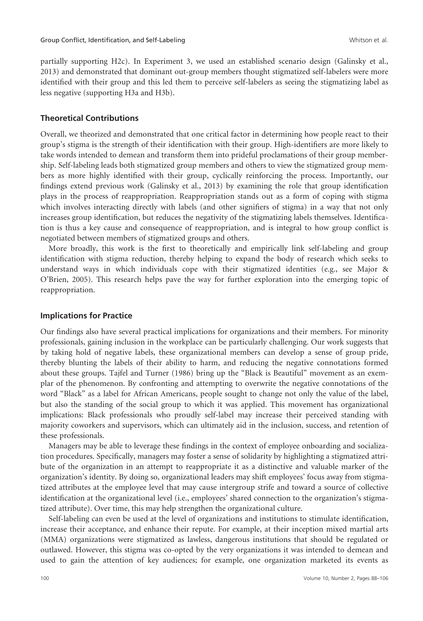partially supporting H2c). In Experiment 3, we used an established scenario design (Galinsky et al., 2013) and demonstrated that dominant out-group members thought stigmatized self-labelers were more identified with their group and this led them to perceive self-labelers as seeing the stigmatizing label as less negative (supporting H3a and H3b).

### Theoretical Contributions

Overall, we theorized and demonstrated that one critical factor in determining how people react to their group's stigma is the strength of their identification with their group. High-identifiers are more likely to take words intended to demean and transform them into prideful proclamations of their group membership. Self-labeling leads both stigmatized group members and others to view the stigmatized group members as more highly identified with their group, cyclically reinforcing the process. Importantly, our findings extend previous work (Galinsky et al., 2013) by examining the role that group identification plays in the process of reappropriation. Reappropriation stands out as a form of coping with stigma which involves interacting directly with labels (and other signifiers of stigma) in a way that not only increases group identification, but reduces the negativity of the stigmatizing labels themselves. Identification is thus a key cause and consequence of reappropriation, and is integral to how group conflict is negotiated between members of stigmatized groups and others.

More broadly, this work is the first to theoretically and empirically link self-labeling and group identification with stigma reduction, thereby helping to expand the body of research which seeks to understand ways in which individuals cope with their stigmatized identities (e.g., see Major & O'Brien, 2005). This research helps pave the way for further exploration into the emerging topic of reappropriation.

#### Implications for Practice

Our findings also have several practical implications for organizations and their members. For minority professionals, gaining inclusion in the workplace can be particularly challenging. Our work suggests that by taking hold of negative labels, these organizational members can develop a sense of group pride, thereby blunting the labels of their ability to harm, and reducing the negative connotations formed about these groups. Tajfel and Turner (1986) bring up the "Black is Beautiful" movement as an exemplar of the phenomenon. By confronting and attempting to overwrite the negative connotations of the word "Black" as a label for African Americans, people sought to change not only the value of the label, but also the standing of the social group to which it was applied. This movement has organizational implications: Black professionals who proudly self-label may increase their perceived standing with majority coworkers and supervisors, which can ultimately aid in the inclusion, success, and retention of these professionals.

Managers may be able to leverage these findings in the context of employee onboarding and socialization procedures. Specifically, managers may foster a sense of solidarity by highlighting a stigmatized attribute of the organization in an attempt to reappropriate it as a distinctive and valuable marker of the organization's identity. By doing so, organizational leaders may shift employees' focus away from stigmatized attributes at the employee level that may cause intergroup strife and toward a source of collective identification at the organizational level (i.e., employees' shared connection to the organization's stigmatized attribute). Over time, this may help strengthen the organizational culture.

Self-labeling can even be used at the level of organizations and institutions to stimulate identification, increase their acceptance, and enhance their repute. For example, at their inception mixed martial arts (MMA) organizations were stigmatized as lawless, dangerous institutions that should be regulated or outlawed. However, this stigma was co-opted by the very organizations it was intended to demean and used to gain the attention of key audiences; for example, one organization marketed its events as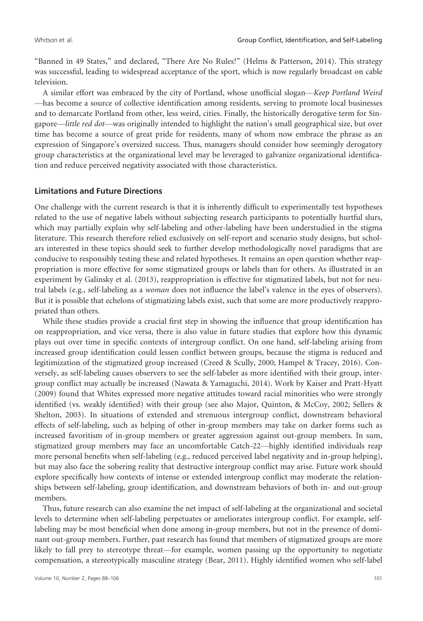"Banned in 49 States," and declared, "There Are No Rules!" (Helms & Patterson, 2014). This strategy was successful, leading to widespread acceptance of the sport, which is now regularly broadcast on cable television.

A similar effort was embraced by the city of Portland, whose unofficial slogan—Keep Portland Weird —has become a source of collective identification among residents, serving to promote local businesses and to demarcate Portland from other, less weird, cities. Finally, the historically derogative term for Singapore—little red dot—was originally intended to highlight the nation's small geographical size, but over time has become a source of great pride for residents, many of whom now embrace the phrase as an expression of Singapore's oversized success. Thus, managers should consider how seemingly derogatory group characteristics at the organizational level may be leveraged to galvanize organizational identification and reduce perceived negativity associated with those characteristics.

#### Limitations and Future Directions

One challenge with the current research is that it is inherently difficult to experimentally test hypotheses related to the use of negative labels without subjecting research participants to potentially hurtful slurs, which may partially explain why self-labeling and other-labeling have been understudied in the stigma literature. This research therefore relied exclusively on self-report and scenario study designs, but scholars interested in these topics should seek to further develop methodologically novel paradigms that are conducive to responsibly testing these and related hypotheses. It remains an open question whether reappropriation is more effective for some stigmatized groups or labels than for others. As illustrated in an experiment by Galinsky et al. (2013), reappropriation is effective for stigmatized labels, but not for neutral labels (e.g., self-labeling as a woman does not influence the label's valence in the eyes of observers). But it is possible that echelons of stigmatizing labels exist, such that some are more productively reappropriated than others.

While these studies provide a crucial first step in showing the influence that group identification has on reappropriation, and vice versa, there is also value in future studies that explore how this dynamic plays out over time in specific contexts of intergroup conflict. On one hand, self-labeling arising from increased group identification could lessen conflict between groups, because the stigma is reduced and legitimization of the stigmatized group increased (Creed & Scully, 2000; Hampel & Tracey, 2016). Conversely, as self-labeling causes observers to see the self-labeler as more identified with their group, intergroup conflict may actually be increased (Nawata & Yamaguchi, 2014). Work by Kaiser and Pratt-Hyatt (2009) found that Whites expressed more negative attitudes toward racial minorities who were strongly identified (vs. weakly identified) with their group (see also Major, Quinton, & McCoy, 2002; Sellers & Shelton, 2003). In situations of extended and strenuous intergroup conflict, downstream behavioral effects of self-labeling, such as helping of other in-group members may take on darker forms such as increased favoritism of in-group members or greater aggression against out-group members. In sum, stigmatized group members may face an uncomfortable Catch-22—highly identified individuals reap more personal benefits when self-labeling (e.g., reduced perceived label negativity and in-group helping), but may also face the sobering reality that destructive intergroup conflict may arise. Future work should explore specifically how contexts of intense or extended intergroup conflict may moderate the relationships between self-labeling, group identification, and downstream behaviors of both in- and out-group members.

Thus, future research can also examine the net impact of self-labeling at the organizational and societal levels to determine when self-labeling perpetuates or ameliorates intergroup conflict. For example, selflabeling may be most beneficial when done among in-group members, but not in the presence of dominant out-group members. Further, past research has found that members of stigmatized groups are more likely to fall prey to stereotype threat—for example, women passing up the opportunity to negotiate compensation, a stereotypically masculine strategy (Bear, 2011). Highly identified women who self-label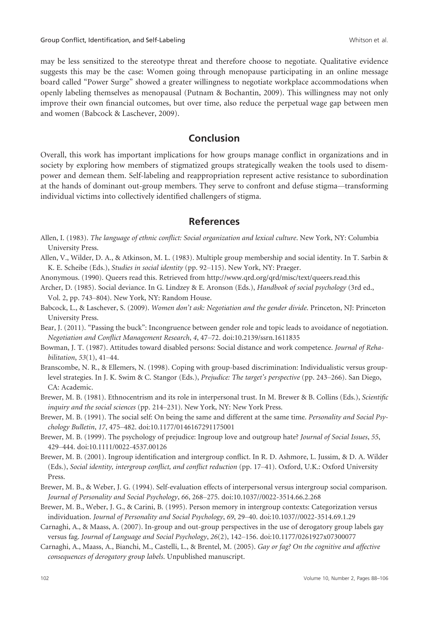may be less sensitized to the stereotype threat and therefore choose to negotiate. Qualitative evidence suggests this may be the case: Women going through menopause participating in an online message board called "Power Surge" showed a greater willingness to negotiate workplace accommodations when openly labeling themselves as menopausal (Putnam & Bochantin, 2009). This willingness may not only improve their own financial outcomes, but over time, also reduce the perpetual wage gap between men and women (Babcock & Laschever, 2009).

## Conclusion

Overall, this work has important implications for how groups manage conflict in organizations and in society by exploring how members of stigmatized groups strategically weaken the tools used to disempower and demean them. Self-labeling and reappropriation represent active resistance to subordination at the hands of dominant out-group members. They serve to confront and defuse stigma—transforming individual victims into collectively identified challengers of stigma.

## References

- Allen, I. (1983). The language of ethnic conflict: Social organization and lexical culture. New York, NY: Columbia University Press.
- Allen, V., Wilder, D. A., & Atkinson, M. L. (1983). Multiple group membership and social identity. In T. Sarbin & K. E. Scheibe (Eds.), Studies in social identity (pp. 92–115). New York, NY: Praeger.
- Anonymous. (1990). Queers read this. Retrieved from<http://www.qrd.org/qrd/misc/text/queers.read.this>
- Archer, D. (1985). Social deviance. In G. Lindzey & E. Aronson (Eds.), Handbook of social psychology (3rd ed., Vol. 2, pp. 743–804). New York, NY: Random House.
- Babcock, L., & Laschever, S. (2009). Women don't ask: Negotiation and the gender divide. Princeton, NJ: Princeton University Press.
- Bear, J. (2011). "Passing the buck": Incongruence between gender role and topic leads to avoidance of negotiation. Negotiation and Conflict Management Research, 4, 47–72. doi[:10.2139/ssrn.1611835](https://doi.org/10.2139/ssrn.1611835)
- Bowman, J. T. (1987). Attitudes toward disabled persons: Social distance and work competence. Journal of Rehabilitation, 53(1), 41–44.
- Branscombe, N. R., & Ellemers, N. (1998). Coping with group-based discrimination: Individualistic versus grouplevel strategies. In J. K. Swim & C. Stangor (Eds.), Prejudice: The target's perspective (pp. 243–266). San Diego, CA: Academic.
- Brewer, M. B. (1981). Ethnocentrism and its role in interpersonal trust. In M. Brewer & B. Collins (Eds.), Scientific inquiry and the social sciences (pp. 214–231). New York, NY: New York Press.
- Brewer, M. B. (1991). The social self: On being the same and different at the same time. Personality and Social Psychology Bulletin, 17, 475–482. doi:[10.1177/0146167291175001](https://doi.org/10.1177/0146167291175001)
- Brewer, M. B. (1999). The psychology of prejudice: Ingroup love and outgroup hate? Journal of Social Issues, 55, 429–444. doi[:10.1111/0022-4537.00126](https://doi.org/10.1111/0022-4537.00126)
- Brewer, M. B. (2001). Ingroup identification and intergroup conflict. In R. D. Ashmore, L. Jussim, & D. A. Wilder (Eds.), Social identity, intergroup conflict, and conflict reduction (pp. 17–41). Oxford, U.K.: Oxford University Press.
- Brewer, M. B., & Weber, J. G. (1994). Self-evaluation effects of interpersonal versus intergroup social comparison. Journal of Personality and Social Psychology, 66, 268–275. doi[:10.1037//0022-3514.66.2.268](https://doi.org/10.1037//0022-3514.66.2.268)
- Brewer, M. B., Weber, J. G., & Carini, B. (1995). Person memory in intergroup contexts: Categorization versus individuation. Journal of Personality and Social Psychology, 69, 29–40. doi[:10.1037//0022-3514.69.1.29](https://doi.org/10.1037//0022-3514.69.1.29)
- Carnaghi, A., & Maass, A. (2007). In-group and out-group perspectives in the use of derogatory group labels gay versus fag. Journal of Language and Social Psychology, 26(2), 142–156. doi[:10.1177/0261927x07300077](https://doi.org/10.1177/0261927x07300077)
- Carnaghi, A., Maass, A., Bianchi, M., Castelli, L., & Brentel, M. (2005). Gay or fag? On the cognitive and affective consequences of derogatory group labels. Unpublished manuscript.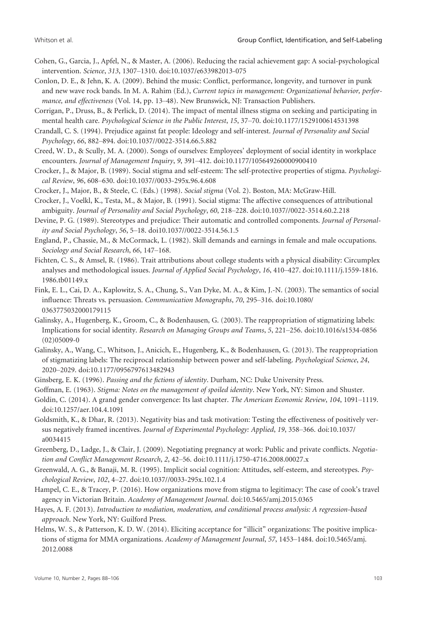- Cohen, G., Garcia, J., Apfel, N., & Master, A. (2006). Reducing the racial achievement gap: A social-psychological intervention. Science, 313, 1307–1310. doi[:10.1037/e633982013-075](https://doi.org/10.1037/e633982013-075)
- Conlon, D. E., & Jehn, K. A. (2009). Behind the music: Conflict, performance, longevity, and turnover in punk and new wave rock bands. In M. A. Rahim (Ed.), Current topics in management: Organizational behavior, performance, and effectiveness (Vol. 14, pp. 13–48). New Brunswick, NJ: Transaction Publishers.
- Corrigan, P., Druss, B., & Perlick, D. (2014). The impact of mental illness stigma on seeking and participating in mental health care. Psychological Science in the Public Interest, 15, 37–70. doi:[10.1177/1529100614531398](https://doi.org/10.1177/1529100614531398)

Crandall, C. S. (1994). Prejudice against fat people: Ideology and self-interest. Journal of Personality and Social Psychology, 66, 882–894. doi[:10.1037//0022-3514.66.5.882](https://doi.org/10.1037//0022-3514.66.5.882)

Creed, W. D., & Scully, M. A. (2000). Songs of ourselves: Employees' deployment of social identity in workplace encounters. Journal of Management Inquiry, 9, 391–412. doi[:10.1177/105649260000900410](https://doi.org/10.1177/105649260000900410)

Crocker, J., & Major, B. (1989). Social stigma and self-esteem: The self-protective properties of stigma. Psychological Review, 96, 608–630. doi:[10.1037//0033-295x.96.4.608](https://doi.org/10.1037//0033-295x.96.4.608)

Crocker, J., Major, B., & Steele, C. (Eds.) (1998). Social stigma (Vol. 2). Boston, MA: McGraw-Hill.

Crocker, J., Voelkl, K., Testa, M., & Major, B. (1991). Social stigma: The affective consequences of attributional ambiguity. Journal of Personality and Social Psychology, 60, 218–228. doi[:10.1037//0022-3514.60.2.218](https://doi.org/10.1037//0022-3514.60.2.218)

Devine, P. G. (1989). Stereotypes and prejudice: Their automatic and controlled components. Journal of Personality and Social Psychology, 56, 5–18. doi10.1037//0022-3514.56.1.5

England, P., Chassie, M., & McCormack, L. (1982). Skill demands and earnings in female and male occupations. Sociology and Social Research, 66, 147–168.

- Fichten, C. S., & Amsel, R. (1986). Trait attributions about college students with a physical disability: Circumplex analyses and methodological issues. Journal of Applied Social Psychology, 16, 410–427. doi:[10.1111/j.1559-1816.](https://doi.org/10.1111/j.1559-1816.1986.tb01149.x) [1986.tb01149.x](https://doi.org/10.1111/j.1559-1816.1986.tb01149.x)
- Fink, E. L., Cai, D. A., Kaplowitz, S. A., Chung, S., Van Dyke, M. A., & Kim, J.-N. (2003). The semantics of social influence: Threats vs. persuasion. Communication Monographs, 70, 295–316. doi[:10.1080/](https://doi.org/10.1080/0363775032000179115) [0363775032000179115](https://doi.org/10.1080/0363775032000179115)
- Galinsky, A., Hugenberg, K., Groom, C., & Bodenhausen, G. (2003). The reappropriation of stigmatizing labels: Implications for social identity. Research on Managing Groups and Teams, 5, 221–256. doi:[10.1016/s1534-0856](https://doi.org/10.1016/s1534-0856(02)05009-0) [\(02\)05009-0](https://doi.org/10.1016/s1534-0856(02)05009-0)
- Galinsky, A., Wang, C., Whitson, J., Anicich, E., Hugenberg, K., & Bodenhausen, G. (2013). The reappropriation of stigmatizing labels: The reciprocal relationship between power and self-labeling. Psychological Science, 24, 2020–2029. doi:[10.1177/0956797613482943](https://doi.org/10.1177/0956797613482943)
- Ginsberg, E. K. (1996). Passing and the fictions of identity. Durham, NC: Duke University Press.

Goffman, E. (1963). Stigma: Notes on the management of spoiled identity. New York, NY: Simon and Shuster.

- Goldin, C. (2014). A grand gender convergence: Its last chapter. The American Economic Review, 104, 1091–1119. doi:[10.1257/aer.104.4.1091](https://doi.org/10.1257/aer.104.4.1091)
- Goldsmith, K., & Dhar, R. (2013). Negativity bias and task motivation: Testing the effectiveness of positively versus negatively framed incentives. Journal of Experimental Psychology: Applied, 19, 358–366. doi:[10.1037/](https://doi.org/10.1037/a0034415) [a0034415](https://doi.org/10.1037/a0034415)
- Greenberg, D., Ladge, J., & Clair, J. (2009). Negotiating pregnancy at work: Public and private conflicts. Negotiation and Conflict Management Research, 2, 42–56. doi[:10.1111/j.1750-4716.2008.00027.x](https://doi.org/10.1111/j.1750-4716.2008.00027.x)

Greenwald, A. G., & Banaji, M. R. (1995). Implicit social cognition: Attitudes, self-esteem, and stereotypes. Psychological Review, 102, 4–27. doi:[10.1037//0033-295x.102.1.4](https://doi.org/10.1037//0033-295x.102.1.4)

Hampel, C. E., & Tracey, P. (2016). How organizations move from stigma to legitimacy: The case of cook's travel agency in Victorian Britain. Academy of Management Journal. doi[:10.5465/amj.2015.0365](https://doi.org/10.5465/amj.2015.0365)

- Hayes, A. F. (2013). Introduction to mediation, moderation, and conditional process analysis: A regression-based approach. New York, NY: Guilford Press.
- Helms, W. S., & Patterson, K. D. W. (2014). Eliciting acceptance for "illicit" organizations: The positive implications of stigma for MMA organizations. Academy of Management Journal, 57, 1453–1484. doi[:10.5465/amj.](https://doi.org/10.5465/amj.2012.0088) [2012.0088](https://doi.org/10.5465/amj.2012.0088)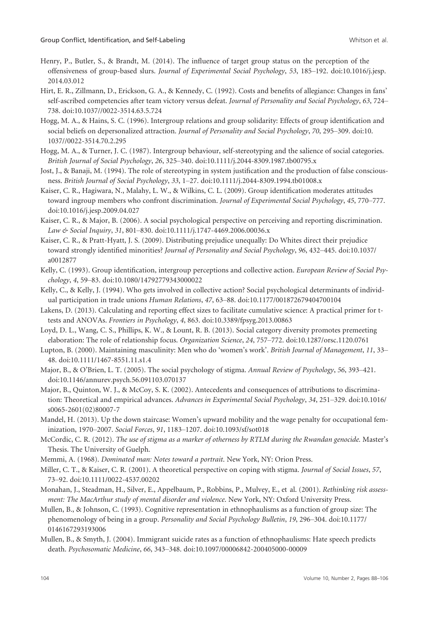- Henry, P., Butler, S., & Brandt, M. (2014). The influence of target group status on the perception of the offensiveness of group-based slurs. Journal of Experimental Social Psychology, 53, 185–192. doi:[10.1016/j.jesp.](https://doi.org/10.1016/j.jesp.2014.03.012) [2014.03.012](https://doi.org/10.1016/j.jesp.2014.03.012)
- Hirt, E. R., Zillmann, D., Erickson, G. A., & Kennedy, C. (1992). Costs and benefits of allegiance: Changes in fans' self-ascribed competencies after team victory versus defeat. Journal of Personality and Social Psychology, 63, 724– 738. doi[:10.1037//0022-3514.63.5.724](https://doi.org/10.1037//0022-3514.63.5.724)
- Hogg, M. A., & Hains, S. C. (1996). Intergroup relations and group solidarity: Effects of group identification and social beliefs on depersonalized attraction. Journal of Personality and Social Psychology, 70, 295-309. doi[:10.](https://doi.org/10.1037//0022-3514.70.2.295) [1037//0022-3514.70.2.295](https://doi.org/10.1037//0022-3514.70.2.295)
- Hogg, M. A., & Turner, J. C. (1987). Intergroup behaviour, self-stereotyping and the salience of social categories. British Journal of Social Psychology, 26, 325–340. doi:[10.1111/j.2044-8309.1987.tb00795.x](https://doi.org/10.1111/j.2044-8309.1987.tb00795.x)
- Jost, J., & Banaji, M. (1994). The role of stereotyping in system justification and the production of false consciousness. British Journal of Social Psychology, 33, 1–27. doi[:10.1111/j.2044-8309.1994.tb01008.x](https://doi.org/10.1111/j.2044-8309.1994.tb01008.x)
- Kaiser, C. R., Hagiwara, N., Malahy, L. W., & Wilkins, C. L. (2009). Group identification moderates attitudes toward ingroup members who confront discrimination. Journal of Experimental Social Psychology, 45, 770–777. doi:[10.1016/j.jesp.2009.04.027](https://doi.org/10.1016/j.jesp.2009.04.027)
- Kaiser, C. R., & Major, B. (2006). A social psychological perspective on perceiving and reporting discrimination. Law & Social Inquiry, 31, 801–830. doi:[10.1111/j.1747-4469.2006.00036.x](https://doi.org/10.1111/j.1747-4469.2006.00036.x)
- Kaiser, C. R., & Pratt-Hyatt, J. S. (2009). Distributing prejudice unequally: Do Whites direct their prejudice toward strongly identified minorities? Journal of Personality and Social Psychology, 96, 432–445. doi:[10.1037/](https://doi.org/10.1037/a0012877) [a0012877](https://doi.org/10.1037/a0012877)
- Kelly, C. (1993). Group identification, intergroup perceptions and collective action. European Review of Social Psychology, 4, 59–83. doi[:10.1080/14792779343000022](https://doi.org/10.1080/14792779343000022)
- Kelly, C., & Kelly, J. (1994). Who gets involved in collective action? Social psychological determinants of individual participation in trade unions Human Relations, 47, 63–88. doi:[10.1177/001872679404700104](https://doi.org/10.1177/001872679404700104)
- Lakens, D. (2013). Calculating and reporting effect sizes to facilitate cumulative science: A practical primer for ttests and ANOVAs. Frontiers in Psychology, 4, 863. doi:[10.3389/fpsyg.2013.00863](https://doi.org/10.3389/fpsyg.2013.00863)
- Loyd, D. L., Wang, C. S., Phillips, K. W., & Lount, R. B. (2013). Social category diversity promotes premeeting elaboration: The role of relationship focus. Organization Science, 24, 757–772. doi[:10.1287/orsc.1120.0761](https://doi.org/10.1287/orsc.1120.0761)
- Lupton, B. (2000). Maintaining masculinity: Men who do 'women's work'. British Journal of Management, 11, 33-48. doi[:10.1111/1467-8551.11.s1.4](https://doi.org/10.1111/1467-8551.11.s1.4)
- Major, B., & O'Brien, L. T. (2005). The social psychology of stigma. Annual Review of Psychology, 56, 393–421. doi:[10.1146/annurev.psych.56.091103.070137](https://doi.org/10.1146/annurev.psych.56.091103.070137)
- Major, B., Quinton, W. J., & McCoy, S. K. (2002). Antecedents and consequences of attributions to discrimina-tion: Theoretical and empirical advances. Advances in Experimental Social Psychology, 34, 251-329. doi[:10.1016/](https://doi.org/10.1016/s0065-2601(02)80007-7) [s0065-2601\(02\)80007-7](https://doi.org/10.1016/s0065-2601(02)80007-7)
- Mandel, H. (2013). Up the down staircase: Women's upward mobility and the wage penalty for occupational feminization, 1970–2007. Social Forces, 91, 1183–1207. doi:[10.1093/sf/sot018](https://doi.org/10.1093/sf/sot018)
- McCordic, C. R. (2012). The use of stigma as a marker of otherness by RTLM during the Rwandan genocide. Master's Thesis. The University of Guelph.
- Memmi, A. (1968). Dominated man: Notes toward a portrait. New York, NY: Orion Press.
- Miller, C. T., & Kaiser, C. R. (2001). A theoretical perspective on coping with stigma. Journal of Social Issues, 57, 73–92. doi:[10.1111/0022-4537.00202](https://doi.org/10.1111/0022-4537.00202)
- Monahan, J., Steadman, H., Silver, E., Appelbaum, P., Robbins, P., Mulvey, E., et al. (2001). Rethinking risk assessment: The MacArthur study of mental disorder and violence. New York, NY: Oxford University Press.
- Mullen, B., & Johnson, C. (1993). Cognitive representation in ethnophaulisms as a function of group size: The phenomenology of being in a group. Personality and Social Psychology Bulletin, 19, 296–304. doi:[10.1177/](https://doi.org/10.1177/0146167293193006) [0146167293193006](https://doi.org/10.1177/0146167293193006)
- Mullen, B., & Smyth, J. (2004). Immigrant suicide rates as a function of ethnophaulisms: Hate speech predicts death. Psychosomatic Medicine, 66, 343–348. doi:[10.1097/00006842-200405000-00009](https://doi.org/10.1097/00006842-200405000-00009)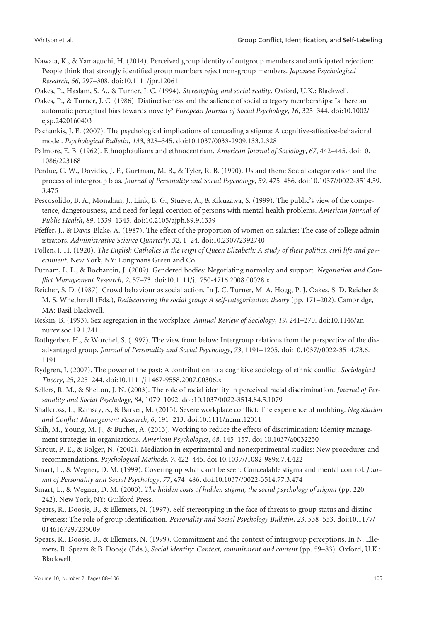- Nawata, K., & Yamaguchi, H. (2014). Perceived group identity of outgroup members and anticipated rejection: People think that strongly identified group members reject non-group members. Japanese Psychological Research, 56, 297–308. doi:[10.1111/jpr.12061](https://doi.org/10.1111/jpr.12061)
- Oakes, P., Haslam, S. A., & Turner, J. C. (1994). Stereotyping and social reality. Oxford, U.K.: Blackwell.
- Oakes, P., & Turner, J. C. (1986). Distinctiveness and the salience of social category memberships: Is there an automatic perceptual bias towards novelty? European Journal of Social Psychology, 16, 325–344. doi:[10.1002/](https://doi.org/10.1002/ejsp.2420160403) [ejsp.2420160403](https://doi.org/10.1002/ejsp.2420160403)
- Pachankis, J. E. (2007). The psychological implications of concealing a stigma: A cognitive-affective-behavioral model. Psychological Bulletin, 133, 328–345. doi[:10.1037/0033-2909.133.2.328](https://doi.org/10.1037/0033-2909.133.2.328)
- Palmore, E. B. (1962). Ethnophaulisms and ethnocentrism. American Journal of Sociology, 67, 442–445. doi[:10.](https://doi.org/10.1086/223168) [1086/223168](https://doi.org/10.1086/223168)
- Perdue, C. W., Dovidio, J. F., Gurtman, M. B., & Tyler, R. B. (1990). Us and them: Social categorization and the process of intergroup bias. Journal of Personality and Social Psychology, 59, 475–486. doi:[10.1037//0022-3514.59.](https://doi.org/10.1037//0022-3514.59.3.475) [3.475](https://doi.org/10.1037//0022-3514.59.3.475)
- Pescosolido, B. A., Monahan, J., Link, B. G., Stueve, A., & Kikuzawa, S. (1999). The public's view of the competence, dangerousness, and need for legal coercion of persons with mental health problems. American Journal of Public Health, 89, 1339–1345. doi[:10.2105/ajph.89.9.1339](https://doi.org/10.2105/ajph.89.9.1339)
- Pfeffer, J., & Davis-Blake, A. (1987). The effect of the proportion of women on salaries: The case of college administrators. Administrative Science Quarterly, 32, 1–24. doi[:10.2307/2392740](https://doi.org/10.2307/2392740)
- Pollen, J. H. (1920). The English Catholics in the reign of Queen Elizabeth: A study of their politics, civil life and government. New York, NY: Longmans Green and Co.
- Putnam, L. L., & Bochantin, J. (2009). Gendered bodies: Negotiating normalcy and support. Negotiation and Conflict Management Research, 2, 57–73. doi[:10.1111/j.1750-4716.2008.00028.x](https://doi.org/10.1111/j.1750-4716.2008.00028.x)
- Reicher, S. D. (1987). Crowd behaviour as social action. In J. C. Turner, M. A. Hogg, P. J. Oakes, S. D. Reicher & M. S. Whetherell (Eds.), Rediscovering the social group: A self-categorization theory (pp. 171–202). Cambridge, MA: Basil Blackwell.
- Reskin, B. (1993). Sex segregation in the workplace. Annual Review of Sociology, 19, 241–270. doi:[10.1146/an](https://doi.org/10.1146/annurev.soc.19.1.241) [nurev.soc.19.1.241](https://doi.org/10.1146/annurev.soc.19.1.241)
- Rothgerber, H., & Worchel, S. (1997). The view from below: Intergroup relations from the perspective of the disadvantaged group. Journal of Personality and Social Psychology, 73, 1191–1205. doi[:10.1037//0022-3514.73.6.](https://doi.org/10.1037//0022-3514.73.6.1191) [1191](https://doi.org/10.1037//0022-3514.73.6.1191)
- Rydgren, J. (2007). The power of the past: A contribution to a cognitive sociology of ethnic conflict. Sociological Theory, 25, 225–244. doi:[10.1111/j.1467-9558.2007.00306.x](https://doi.org/10.1111/j.1467-9558.2007.00306.x)
- Sellers, R. M., & Shelton, J. N. (2003). The role of racial identity in perceived racial discrimination. Journal of Personality and Social Psychology, 84, 1079–1092. doi:[10.1037/0022-3514.84.5.1079](https://doi.org/10.1037/0022-3514.84.5.1079)
- Shallcross, L., Ramsay, S., & Barker, M. (2013). Severe workplace conflict: The experience of mobbing. Negotiation and Conflict Management Research, 6, 191–213. doi:[10.1111/ncmr.12011](https://doi.org/10.1111/ncmr.12011)
- Shih, M., Young, M. J., & Bucher, A. (2013). Working to reduce the effects of discrimination: Identity management strategies in organizations. American Psychologist, 68, 145–157. doi[:10.1037/a0032250](https://doi.org/10.1037/a0032250)
- Shrout, P. E., & Bolger, N. (2002). Mediation in experimental and nonexperimental studies: New procedures and recommendations. Psychological Methods, 7, 422–445. doi:[10.1037//1082-989x.7.4.422](https://doi.org/10.1037//1082-989x.7.4.422)
- Smart, L., & Wegner, D. M. (1999). Covering up what can't be seen: Concealable stigma and mental control. Journal of Personality and Social Psychology, 77, 474–486. doi[:10.1037//0022-3514.77.3.474](https://doi.org/10.1037//0022-3514.77.3.474)
- Smart, L., & Wegner, D. M. (2000). The hidden costs of hidden stigma, the social psychology of stigma (pp. 220– 242). New York, NY: Guilford Press.
- Spears, R., Doosje, B., & Ellemers, N. (1997). Self-stereotyping in the face of threats to group status and distinctiveness: The role of group identification. Personality and Social Psychology Bulletin, 23, 538–553. doi[:10.1177/](https://doi.org/10.1177/0146167297235009) [0146167297235009](https://doi.org/10.1177/0146167297235009)
- Spears, R., Doosje, B., & Ellemers, N. (1999). Commitment and the context of intergroup perceptions. In N. Ellemers, R. Spears & B. Doosje (Eds.), Social identity: Context, commitment and content (pp. 59–83). Oxford, U.K.: Blackwell.